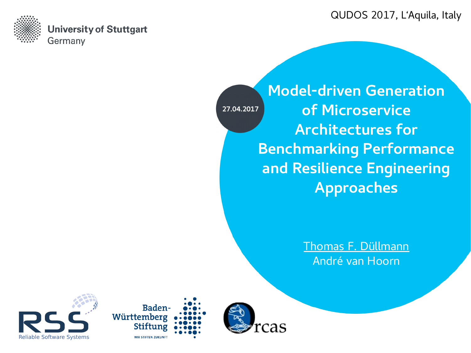QUDOS 2017, L'Aquila, Italy



**University of Stuttgart** Germany

**27.04.2017**

**Model-driven Generation of Microservice Architectures for Benchmarking Performance and Resilience Engineering Approaches**

> Thomas F. Düllmann André van Hoorn





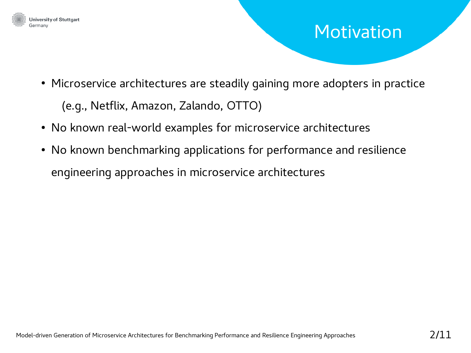

### Motivation

- Microservice architectures are steadily gaining more adopters in practice (e.g., Netflix, Amazon, Zalando, OTTO)
- No known real-world examples for microservice architectures
- No known benchmarking applications for performance and resilience engineering approaches in microservice architectures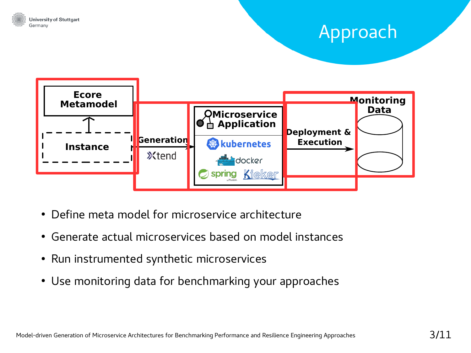

## Approach



- Define meta model for microservice architecture
- Generate actual microservices based on model instances
- Run instrumented synthetic microservices
- Use monitoring data for benchmarking your approaches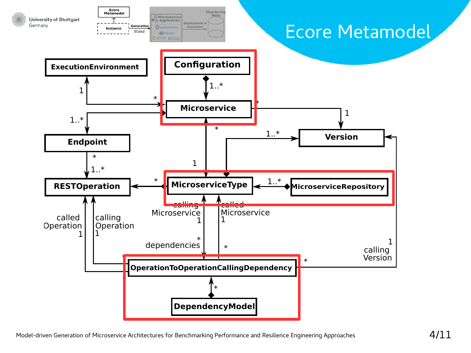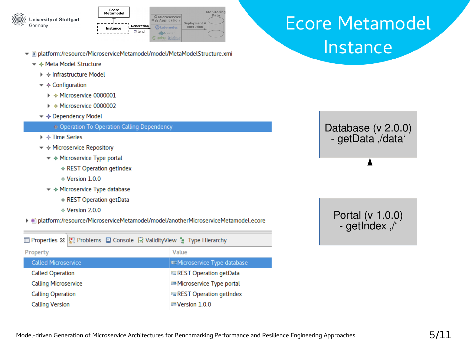



- In platform:/resource/MicroserviceMetamodel/model/MetaModelStructure.xmi
	- ▼ ↑ Meta Model Structure
		- $\triangleright \rightsquigarrow$  Infrastructure Model
		- $\blacktriangledown \blacktriangleleft$  Configuration
			- ▶ ◆ Microservice 0000001
			- $\triangleright$   $\rightsquigarrow$  Microservice 0000002
		- ▼ ◆ Dependency Model

#### ♦ Operation To Operation Calling Dependency

- $\triangleright \rightsquigarrow$  Time Series
- $\blacktriangledown$   $\Leftrightarrow$  Microservice Repository
	- ▼ 令 Microservice Type portal
		- ← REST Operation getIndex
		- $&$  Version 1.0.0
	- ▼ ◆ Microservice Type database
		- ← REST Operation getData
		- $&\diamond$  Version 2.0.0
- ▶ Dlatform:/resource/MicroserviceMetamodel/model/anotherMicroserviceMetamodel.ecore

|                             |  | ■ Properties 窓     Problems ■ Console © ValidityView ‰ Type Hierarchy |
|-----------------------------|--|-----------------------------------------------------------------------|
| Property                    |  | Value                                                                 |
| <b>Called Microservice</b>  |  | <b>EMicroservice Type database</b>                                    |
| <b>Called Operation</b>     |  | <b>■ REST Operation getData</b>                                       |
| <b>Calling Microservice</b> |  | 唁 Microservice Type portal                                            |
| <b>Calling Operation</b>    |  | <b>■ REST Operation getIndex</b>                                      |
| <b>Calling Version</b>      |  | <b>■Version 1.0.0</b>                                                 |

## **Ecore Metamodel** Instance

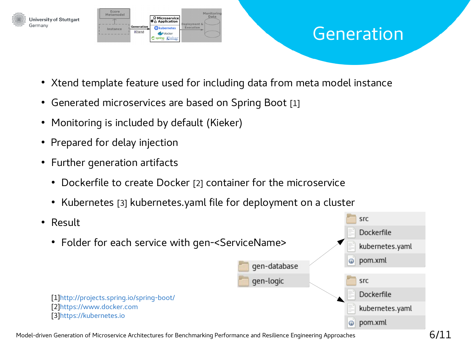

#### Generation

- Xtend template feature used for including data from meta model instance
- Generated microservices are based on Spring Boot [1]
- Monitoring is included by default (Kieker)
- Prepared for delay injection

Germany

- Further generation artifacts
	- Dockerfile to create Docker [2] container for the microservice
	- Kubernetes [3] kubernetes.yaml file for deployment on a cluster
- src ● Result Dockerfile • Folder for each service with gen-<ServiceName> kubernetes.yaml pom.xml  $\odot$ gen-database gen-logic src Dockerfile [1[\]http://projects.spring.io/spring-boot/](http://projects.spring.io/spring-boot/) [2[\]https://www.docker.com](https://www.docker.com/) kubernetes.yaml [3[\]https://kubernetes.io](https://kubernetes.io/)pom.xml  $\odot$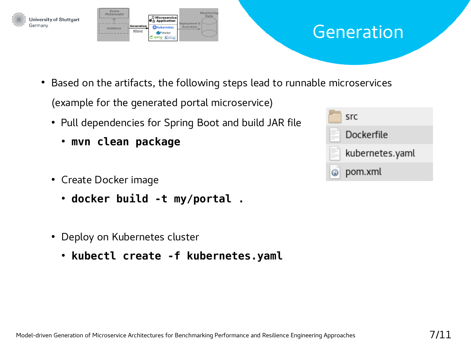



## Generation

• Based on the artifacts, the following steps lead to runnable microservices

(example for the generated portal microservice)

- Pull dependencies for Spring Boot and build JAR file
	- **mvn clean package**
- Create Docker image
	- **docker build -t my/portal .**
- Deploy on Kubernetes cluster
	- **kubectl create -f kubernetes.yaml**

| src             |
|-----------------|
| Dockerfile      |
| kubernetes.yaml |
| pom.xml         |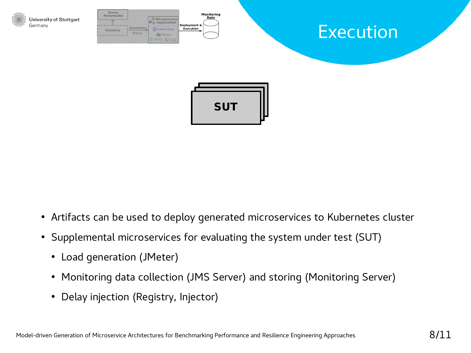

- Artifacts can be used to deploy generated microservices to Kubernetes cluster
- Supplemental microservices for evaluating the system under test (SUT)
	- Load generation (JMeter)
	- Monitoring data collection (JMS Server) and storing (Monitoring Server)
	- Delay injection (Registry, Injector)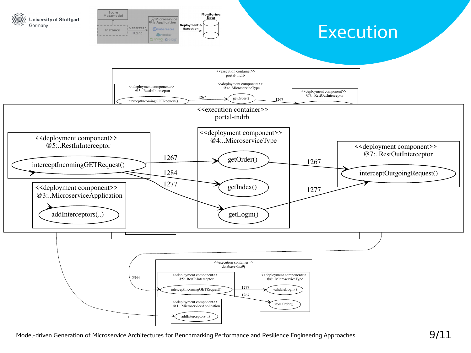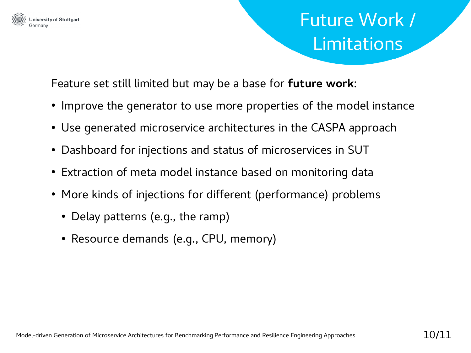

#### **University of Stuttgart**

# Future Work / Limitations

Feature set still limited but may be a base for **future work**:

- Improve the generator to use more properties of the model instance
- Use generated microservice architectures in the CASPA approach
- Dashboard for injections and status of microservices in SUT
- Extraction of meta model instance based on monitoring data
- More kinds of injections for different (performance) problems
	- Delay patterns (e.g., the ramp)
	- Resource demands (e.g., CPU, memory)